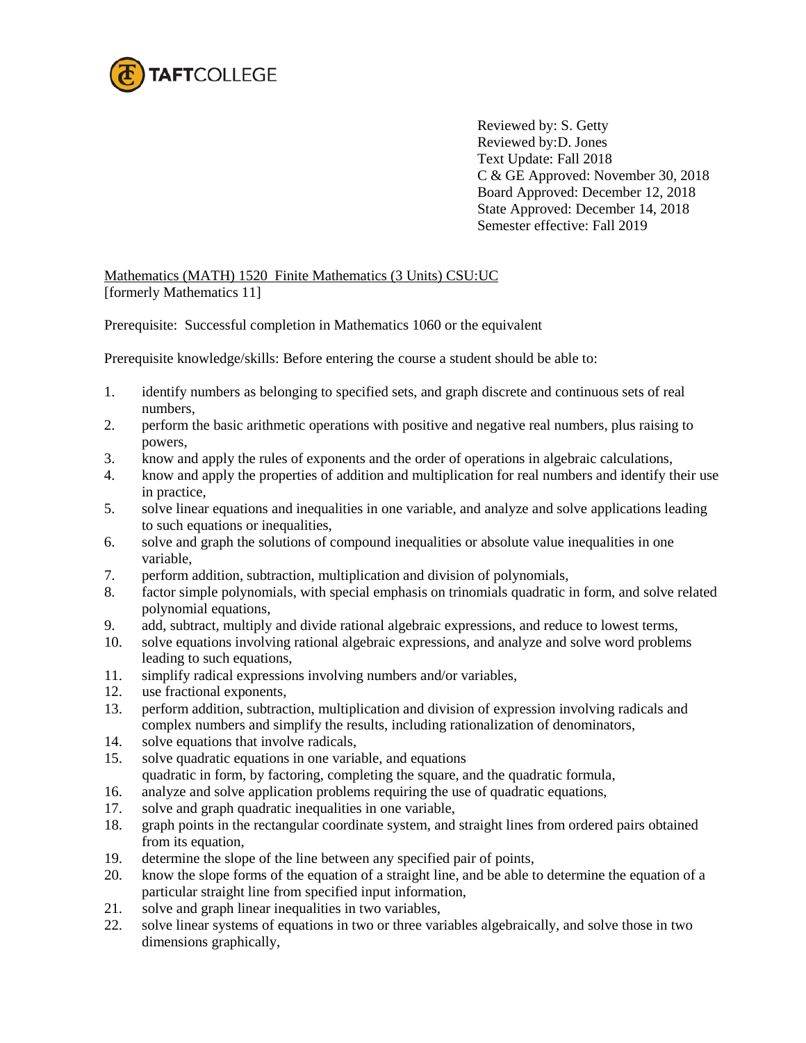

Reviewed by: S. Getty Reviewed by:D. Jones Text Update: Fall 2018 C & GE Approved: November 30, 2018 Board Approved: December 12, 2018 State Approved: December 14, 2018 Semester effective: Fall 2019

Mathematics (MATH) 1520 Finite Mathematics (3 Units) CSU:UC [formerly Mathematics 11]

Prerequisite: Successful completion in Mathematics 1060 or the equivalent

Prerequisite knowledge/skills: Before entering the course a student should be able to:

- 1. identify numbers as belonging to specified sets, and graph discrete and continuous sets of real numbers,
- 2. perform the basic arithmetic operations with positive and negative real numbers, plus raising to powers,
- 3. know and apply the rules of exponents and the order of operations in algebraic calculations,
- 4. know and apply the properties of addition and multiplication for real numbers and identify their use in practice,
- 5. solve linear equations and inequalities in one variable, and analyze and solve applications leading to such equations or inequalities,
- 6. solve and graph the solutions of compound inequalities or absolute value inequalities in one variable,
- 7. perform addition, subtraction, multiplication and division of polynomials,
- 8. factor simple polynomials, with special emphasis on trinomials quadratic in form, and solve related polynomial equations,
- 9. add, subtract, multiply and divide rational algebraic expressions, and reduce to lowest terms,
- 10. solve equations involving rational algebraic expressions, and analyze and solve word problems leading to such equations,
- 11. simplify radical expressions involving numbers and/or variables,
- 12. use fractional exponents,
- 13. perform addition, subtraction, multiplication and division of expression involving radicals and complex numbers and simplify the results, including rationalization of denominators,
- 14. solve equations that involve radicals,
- 15. solve quadratic equations in one variable, and equations
- quadratic in form, by factoring, completing the square, and the quadratic formula,
- 16. analyze and solve application problems requiring the use of quadratic equations,
- 17. solve and graph quadratic inequalities in one variable,
- 18. graph points in the rectangular coordinate system, and straight lines from ordered pairs obtained from its equation,
- 19. determine the slope of the line between any specified pair of points,
- 20. know the slope forms of the equation of a straight line, and be able to determine the equation of a particular straight line from specified input information,
- 21. solve and graph linear inequalities in two variables,<br>22. solve linear systems of equations in two or three var
- 22. solve linear systems of equations in two or three variables algebraically, and solve those in two dimensions graphically,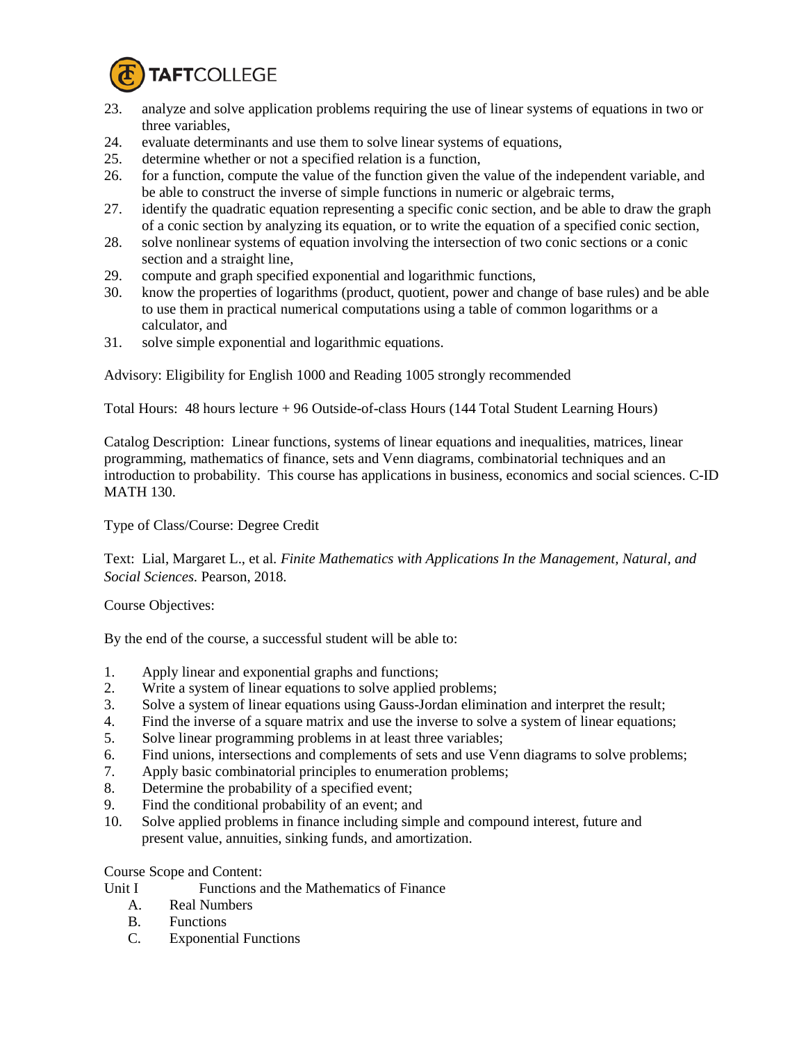

- 23. analyze and solve application problems requiring the use of linear systems of equations in two or three variables,
- 24. evaluate determinants and use them to solve linear systems of equations,
- 25. determine whether or not a specified relation is a function,
- 26. for a function, compute the value of the function given the value of the independent variable, and be able to construct the inverse of simple functions in numeric or algebraic terms,
- 27. identify the quadratic equation representing a specific conic section, and be able to draw the graph of a conic section by analyzing its equation, or to write the equation of a specified conic section,
- 28. solve nonlinear systems of equation involving the intersection of two conic sections or a conic section and a straight line,
- 29. compute and graph specified exponential and logarithmic functions,
- 30. know the properties of logarithms (product, quotient, power and change of base rules) and be able to use them in practical numerical computations using a table of common logarithms or a calculator, and
- 31. solve simple exponential and logarithmic equations.

Advisory: Eligibility for English 1000 and Reading 1005 strongly recommended

Total Hours: 48 hours lecture + 96 Outside-of-class Hours (144 Total Student Learning Hours)

Catalog Description: Linear functions, systems of linear equations and inequalities, matrices, linear programming, mathematics of finance, sets and Venn diagrams, combinatorial techniques and an introduction to probability. This course has applications in business, economics and social sciences. C-ID MATH 130.

Type of Class/Course: Degree Credit

Text: Lial, Margaret L., et al*. Finite Mathematics with Applications In the Management, Natural, and Social Sciences.* Pearson, 2018.

Course Objectives:

By the end of the course, a successful student will be able to:

- 1. Apply linear and exponential graphs and functions;
- 2. Write a system of linear equations to solve applied problems;
- 3. Solve a system of linear equations using Gauss-Jordan elimination and interpret the result;
- 4. Find the inverse of a square matrix and use the inverse to solve a system of linear equations;
- 5. Solve linear programming problems in at least three variables;
- 6. Find unions, intersections and complements of sets and use Venn diagrams to solve problems;
- 7. Apply basic combinatorial principles to enumeration problems;
- 8. Determine the probability of a specified event;
- 9. Find the conditional probability of an event; and
- 10. Solve applied problems in finance including simple and compound interest, future and present value, annuities, sinking funds, and amortization.

Course Scope and Content:

- Unit I Functions and the Mathematics of Finance
	- A. Real Numbers
	- B. Functions
	- C. Exponential Functions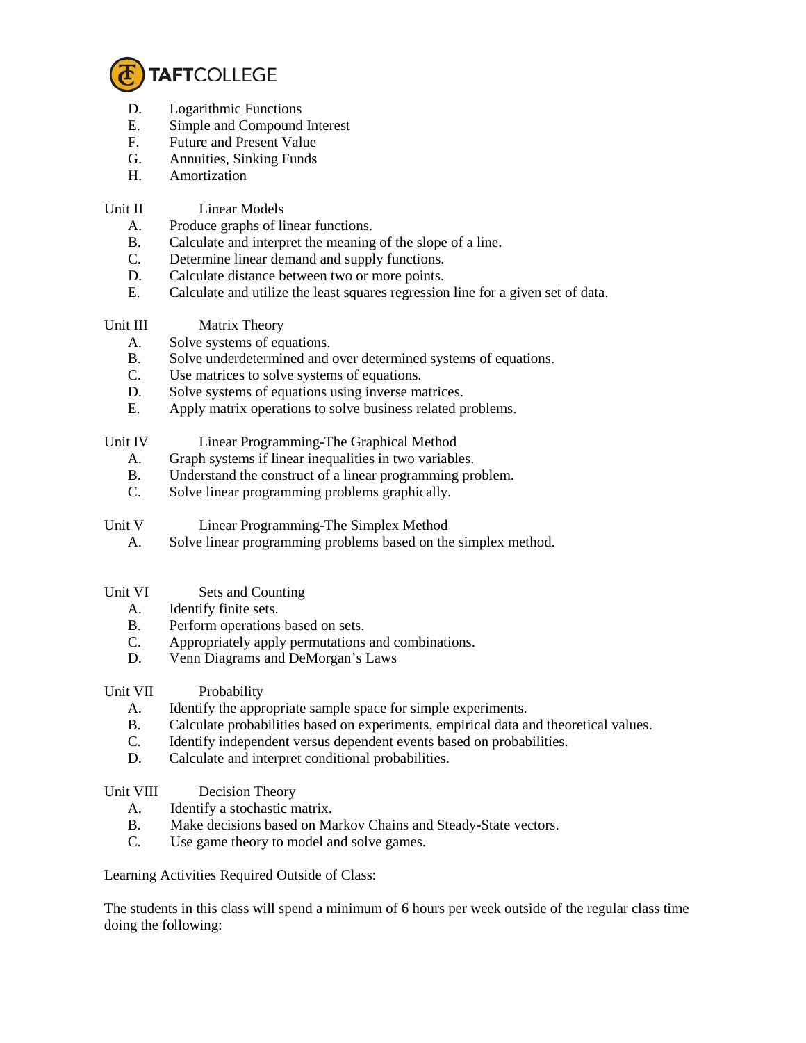

- D. Logarithmic Functions
- E. Simple and Compound Interest
- F. Future and Present Value
- G. Annuities, Sinking Funds
- H. Amortization

## Unit II Linear Models

- A. Produce graphs of linear functions.
- B. Calculate and interpret the meaning of the slope of a line.
- C. Determine linear demand and supply functions.
- D. Calculate distance between two or more points.
- E. Calculate and utilize the least squares regression line for a given set of data.

## Unit III Matrix Theory

- A. Solve systems of equations.
- B. Solve underdetermined and over determined systems of equations.
- C. Use matrices to solve systems of equations.
- D. Solve systems of equations using inverse matrices.
- E. Apply matrix operations to solve business related problems.

# Unit IV Linear Programming-The Graphical Method

- A. Graph systems if linear inequalities in two variables.
- B. Understand the construct of a linear programming problem.
- C. Solve linear programming problems graphically.

Unit V Linear Programming-The Simplex Method

- A. Solve linear programming problems based on the simplex method.
- Unit VI Sets and Counting
	- A. Identify finite sets.
	- B. Perform operations based on sets.
	- C. Appropriately apply permutations and combinations.
	- D. Venn Diagrams and DeMorgan's Laws

#### Unit VII Probability

- A. Identify the appropriate sample space for simple experiments.
- B. Calculate probabilities based on experiments, empirical data and theoretical values.
- C. Identify independent versus dependent events based on probabilities.
- D. Calculate and interpret conditional probabilities.

## Unit VIII Decision Theory

- A. Identify a stochastic matrix.
- B. Make decisions based on Markov Chains and Steady-State vectors.<br>C. Use game theory to model and solve games.
- Use game theory to model and solve games.

#### Learning Activities Required Outside of Class:

The students in this class will spend a minimum of 6 hours per week outside of the regular class time doing the following: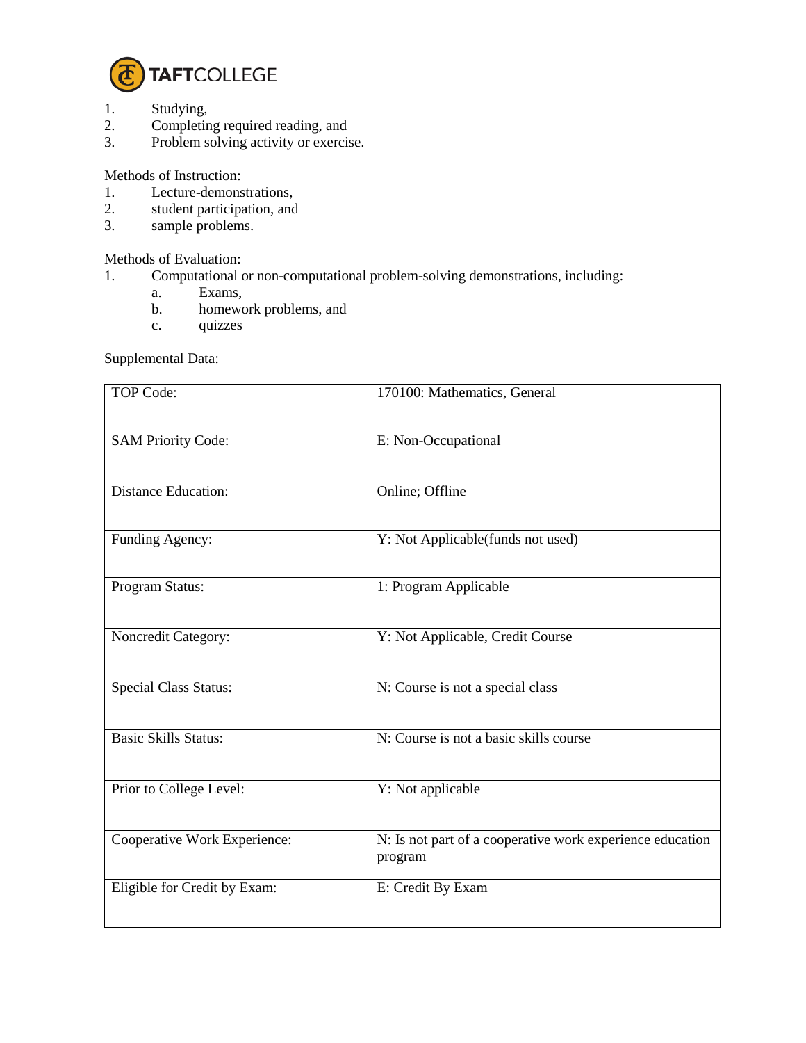

- 1. Studying,<br>2. Completin
- 2. Completing required reading, and<br>3. Problem solving activity or exercise
- Problem solving activity or exercise.

Methods of Instruction:

- 1. Lecture-demonstrations,<br>2. student participation, and
- 2. student participation, and<br>3. sample problems.
- sample problems.

Methods of Evaluation:

- 1. Computational or non-computational problem-solving demonstrations, including:
	- a. Exams,
	- b. homework problems, and
	- c. quizzes

Supplemental Data:

| TOP Code:                    | 170100: Mathematics, General                                         |
|------------------------------|----------------------------------------------------------------------|
| <b>SAM Priority Code:</b>    | E: Non-Occupational                                                  |
| <b>Distance Education:</b>   | Online; Offline                                                      |
| Funding Agency:              | Y: Not Applicable(funds not used)                                    |
| Program Status:              | 1: Program Applicable                                                |
| Noncredit Category:          | Y: Not Applicable, Credit Course                                     |
| <b>Special Class Status:</b> | N: Course is not a special class                                     |
| <b>Basic Skills Status:</b>  | N: Course is not a basic skills course                               |
| Prior to College Level:      | Y: Not applicable                                                    |
| Cooperative Work Experience: | N: Is not part of a cooperative work experience education<br>program |
| Eligible for Credit by Exam: | E: Credit By Exam                                                    |